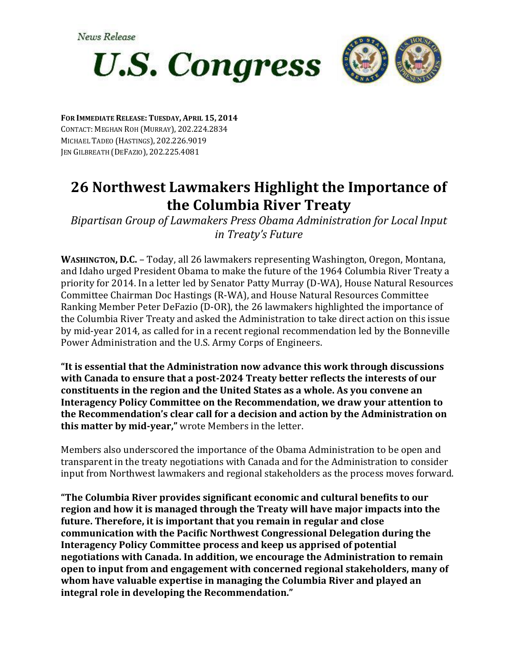

**FOR IMMEDIATE RELEASE: TUESDAY, APRIL 15, 2014** CONTACT: MEGHAN ROH (MURRAY), 202.224.2834 MICHAEL TADEO (HASTINGS), 202.226.9019 JEN GILBREATH (DEFAZIO), 202.225.4081

## **26 Northwest Lawmakers Highlight the Importance of the Columbia River Treaty**

*Bipartisan Group of Lawmakers Press Obama Administration for Local Input in Treaty's Future*

**WASHINGTON, D.C.** – Today, all 26 lawmakers representing Washington, Oregon, Montana, and Idaho urged President Obama to make the future of the 1964 Columbia River Treaty a priority for 2014. In a letter led by Senator Patty Murray (D-WA), House Natural Resources Committee Chairman Doc Hastings (R-WA), and House Natural Resources Committee Ranking Member Peter DeFazio (D-OR), the 26 lawmakers highlighted the importance of the Columbia River Treaty and asked the Administration to take direct action on this issue by mid-year 2014, as called for in a recent regional recommendation led by the Bonneville Power Administration and the U.S. Army Corps of Engineers.

**"It is essential that the Administration now advance this work through discussions with Canada to ensure that a post-2024 Treaty better reflects the interests of our constituents in the region and the United States as a whole. As you convene an Interagency Policy Committee on the Recommendation, we draw your attention to the Recommendation's clear call for a decision and action by the Administration on this matter by mid-year,"** wrote Members in the letter.

Members also underscored the importance of the Obama Administration to be open and transparent in the treaty negotiations with Canada and for the Administration to consider input from Northwest lawmakers and regional stakeholders as the process moves forward.

**"The Columbia River provides significant economic and cultural benefits to our region and how it is managed through the Treaty will have major impacts into the future. Therefore, it is important that you remain in regular and close communication with the Pacific Northwest Congressional Delegation during the Interagency Policy Committee process and keep us apprised of potential negotiations with Canada. In addition, we encourage the Administration to remain open to input from and engagement with concerned regional stakeholders, many of whom have valuable expertise in managing the Columbia River and played an integral role in developing the Recommendation."**